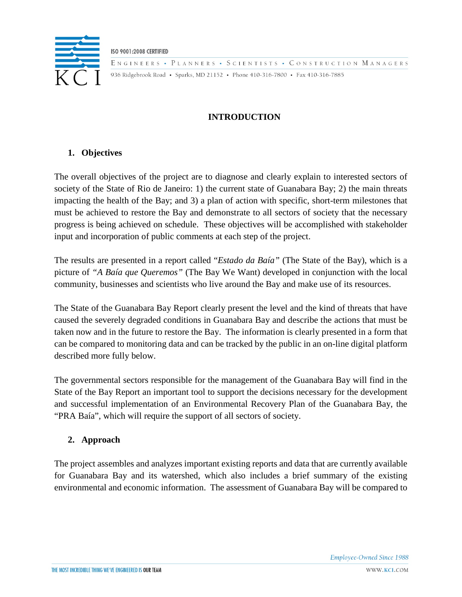

**ISO 9001:2008 CERTIFIED** ENGINEERS • PLANNERS • SCIENTISTS • CONSTRUCTION MANAGERS 936 Ridgebrook Road • Sparks, MD 21152 • Phone 410-316-7800 • Fax 410-316-7885

# **INTRODUCTION**

# **1. Objectives**

The overall objectives of the project are to diagnose and clearly explain to interested sectors of society of the State of Rio de Janeiro: 1) the current state of Guanabara Bay; 2) the main threats impacting the health of the Bay; and 3) a plan of action with specific, short-term milestones that must be achieved to restore the Bay and demonstrate to all sectors of society that the necessary progress is being achieved on schedule. These objectives will be accomplished with stakeholder input and incorporation of public comments at each step of the project.

The results are presented in a report called "*Estado da Baía"* (The State of the Bay), which is a picture of *"A Baía que Queremos"* (The Bay We Want) developed in conjunction with the local community, businesses and scientists who live around the Bay and make use of its resources.

The State of the Guanabara Bay Report clearly present the level and the kind of threats that have caused the severely degraded conditions in Guanabara Bay and describe the actions that must be taken now and in the future to restore the Bay. The information is clearly presented in a form that can be compared to monitoring data and can be tracked by the public in an on-line digital platform described more fully below.

The governmental sectors responsible for the management of the Guanabara Bay will find in the State of the Bay Report an important tool to support the decisions necessary for the development and successful implementation of an Environmental Recovery Plan of the Guanabara Bay, the "PRA Baía", which will require the support of all sectors of society.

## **2. Approach**

The project assembles and analyzes important existing reports and data that are currently available for Guanabara Bay and its watershed, which also includes a brief summary of the existing environmental and economic information. The assessment of Guanabara Bay will be compared to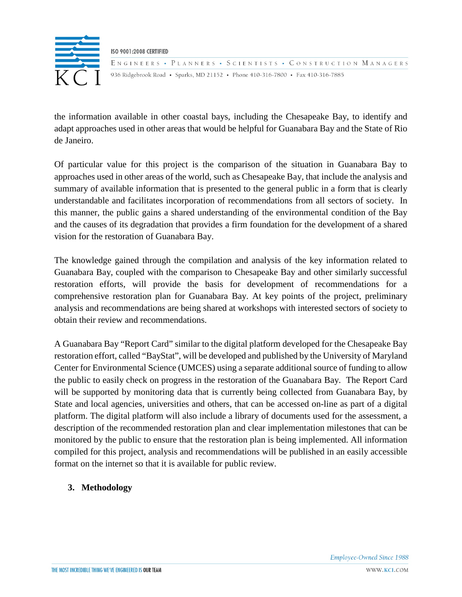

the information available in other coastal bays, including the Chesapeake Bay, to identify and adapt approaches used in other areas that would be helpful for Guanabara Bay and the State of Rio de Janeiro.

Of particular value for this project is the comparison of the situation in Guanabara Bay to approaches used in other areas of the world, such as Chesapeake Bay, that include the analysis and summary of available information that is presented to the general public in a form that is clearly understandable and facilitates incorporation of recommendations from all sectors of society. In this manner, the public gains a shared understanding of the environmental condition of the Bay and the causes of its degradation that provides a firm foundation for the development of a shared vision for the restoration of Guanabara Bay.

The knowledge gained through the compilation and analysis of the key information related to Guanabara Bay, coupled with the comparison to Chesapeake Bay and other similarly successful restoration efforts, will provide the basis for development of recommendations for a comprehensive restoration plan for Guanabara Bay. At key points of the project, preliminary analysis and recommendations are being shared at workshops with interested sectors of society to obtain their review and recommendations.

A Guanabara Bay "Report Card" similar to the digital platform developed for the Chesapeake Bay restoration effort, called "BayStat", will be developed and published by the University of Maryland Center for Environmental Science (UMCES) using a separate additional source of funding to allow the public to easily check on progress in the restoration of the Guanabara Bay. The Report Card will be supported by monitoring data that is currently being collected from Guanabara Bay, by State and local agencies, universities and others, that can be accessed on-line as part of a digital platform. The digital platform will also include a library of documents used for the assessment, a description of the recommended restoration plan and clear implementation milestones that can be monitored by the public to ensure that the restoration plan is being implemented. All information compiled for this project, analysis and recommendations will be published in an easily accessible format on the internet so that it is available for public review.

## **3. Methodology**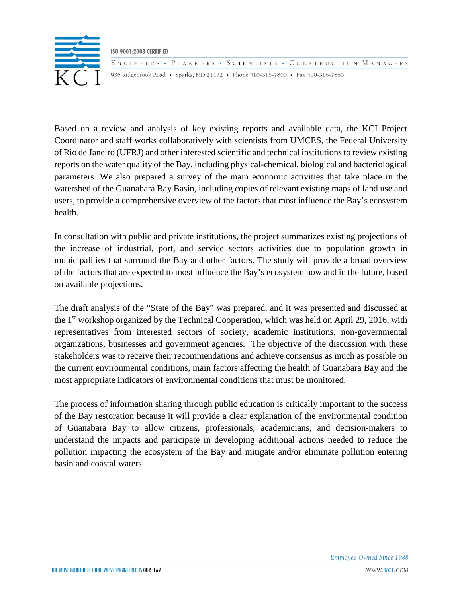

ENGINEERS • PLANNERS • SCIENTISTS • CONSTRUCTION MANAGERS 936 Ridgebrook Road • Sparks, MD 21152 • Phone 410-316-7800 • Fax 410-316-7885

Based on a review and analysis of key existing reports and available data, the KCI Project Coordinator and staff works collaboratively with scientists from UMCES, the Federal University of Rio de Janeiro (UFRJ) and other interested scientific and technical institutions to review existing reports on the water quality of the Bay, including physical-chemical, biological and bacteriological parameters. We also prepared a survey of the main economic activities that take place in the watershed of the Guanabara Bay Basin, including copies of relevant existing maps of land use and users, to provide a comprehensive overview of the factors that most influence the Bay's ecosystem health.

In consultation with public and private institutions, the project summarizes existing projections of the increase of industrial, port, and service sectors activities due to population growth in municipalities that surround the Bay and other factors. The study will provide a broad overview of the factors that are expected to most influence the Bay's ecosystem now and in the future, based on available projections.

The draft analysis of the "State of the Bay" was prepared, and it was presented and discussed at the 1st workshop organized by the Technical Cooperation, which was held on April 29, 2016, with representatives from interested sectors of society, academic institutions, non-governmental organizations, businesses and government agencies. The objective of the discussion with these stakeholders was to receive their recommendations and achieve consensus as much as possible on the current environmental conditions, main factors affecting the health of Guanabara Bay and the most appropriate indicators of environmental conditions that must be monitored.

The process of information sharing through public education is critically important to the success of the Bay restoration because it will provide a clear explanation of the environmental condition of Guanabara Bay to allow citizens, professionals, academicians, and decision-makers to understand the impacts and participate in developing additional actions needed to reduce the pollution impacting the ecosystem of the Bay and mitigate and/or eliminate pollution entering basin and coastal waters.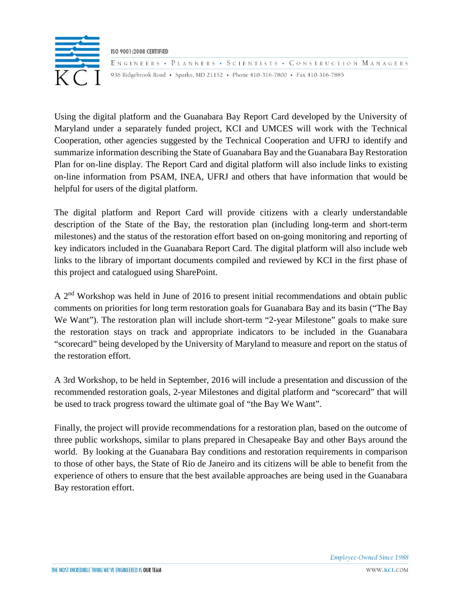

ENGINEERS • PLANNERS • SCIENTISTS • CONSTRUCTION MANAGERS 936 Ridgebrook Road • Sparks, MD 21152 • Phone 410-316-7800 • Fax 410-316-7885

Using the digital platform and the Guanabara Bay Report Card developed by the University of Maryland under a separately funded project, KCI and UMCES will work with the Technical Cooperation, other agencies suggested by the Technical Cooperation and UFRJ to identify and summarize information describing the State of Guanabara Bay and the Guanabara Bay Restoration Plan for on-line display. The Report Card and digital platform will also include links to existing on-line information from PSAM, INEA, UFRJ and others that have information that would be helpful for users of the digital platform.

The digital platform and Report Card will provide citizens with a clearly understandable description of the State of the Bay, the restoration plan (including long-term and short-term milestones) and the status of the restoration effort based on on-going monitoring and reporting of key indicators included in the Guanabara Report Card. The digital platform will also include web links to the library of important documents compiled and reviewed by KCI in the first phase of this project and catalogued using SharePoint.

A 2nd Workshop was held in June of 2016 to present initial recommendations and obtain public comments on priorities for long term restoration goals for Guanabara Bay and its basin ("The Bay We Want"). The restoration plan will include short-term "2-year Milestone" goals to make sure the restoration stays on track and appropriate indicators to be included in the Guanabara "scorecard" being developed by the University of Maryland to measure and report on the status of the restoration effort.

A 3rd Workshop, to be held in September, 2016 will include a presentation and discussion of the recommended restoration goals, 2-year Milestones and digital platform and "scorecard" that will be used to track progress toward the ultimate goal of "the Bay We Want".

Finally, the project will provide recommendations for a restoration plan, based on the outcome of three public workshops, similar to plans prepared in Chesapeake Bay and other Bays around the world. By looking at the Guanabara Bay conditions and restoration requirements in comparison to those of other bays, the State of Rio de Janeiro and its citizens will be able to benefit from the experience of others to ensure that the best available approaches are being used in the Guanabara Bay restoration effort.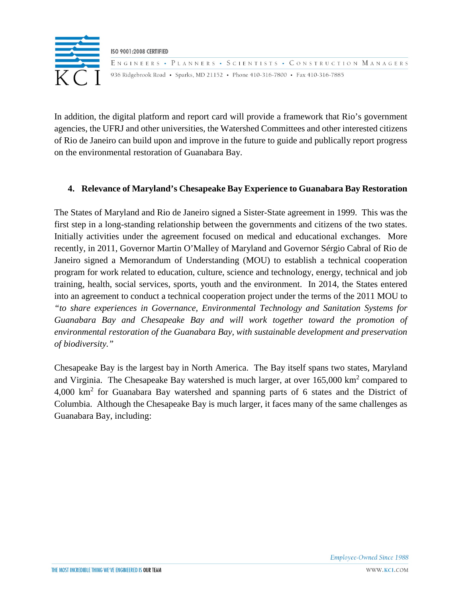

In addition, the digital platform and report card will provide a framework that Rio's government agencies, the UFRJ and other universities, the Watershed Committees and other interested citizens of Rio de Janeiro can build upon and improve in the future to guide and publically report progress on the environmental restoration of Guanabara Bay.

### **4. Relevance of Maryland's Chesapeake Bay Experience to Guanabara Bay Restoration**

The States of Maryland and Rio de Janeiro signed a Sister-State agreement in 1999. This was the first step in a long-standing relationship between the governments and citizens of the two states. Initially activities under the agreement focused on medical and educational exchanges. More recently, in 2011, Governor Martin O'Malley of Maryland and Governor Sérgio Cabral of Rio de Janeiro signed a Memorandum of Understanding (MOU) to establish a technical cooperation program for work related to education, culture, science and technology, energy, technical and job training, health, social services, sports, youth and the environment. In 2014, the States entered into an agreement to conduct a technical cooperation project under the terms of the 2011 MOU to *"to share experiences in Governance, Environmental Technology and Sanitation Systems for Guanabara Bay and Chesapeake Bay and will work together toward the promotion of environmental restoration of the Guanabara Bay, with sustainable development and preservation of biodiversity."*

Chesapeake Bay is the largest bay in North America. The Bay itself spans two states, Maryland and Virginia. The Chesapeake Bay watershed is much larger, at over  $165,000 \text{ km}^2$  compared to 4,000 km<sup>2</sup> for Guanabara Bay watershed and spanning parts of 6 states and the District of Columbia. Although the Chesapeake Bay is much larger, it faces many of the same challenges as Guanabara Bay, including: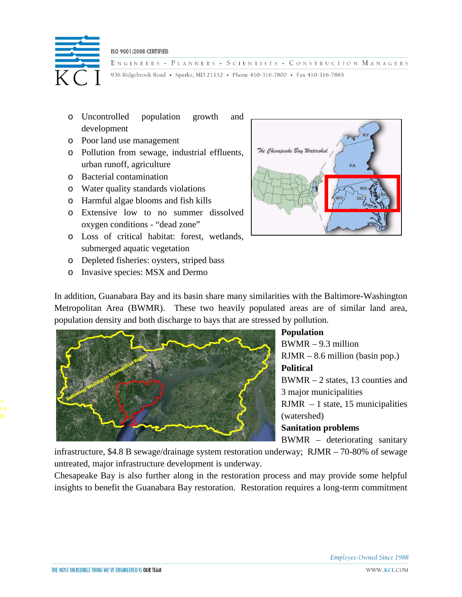

ENGINEERS • PLANNERS • SCIENTISTS • CONSTRUCTION MANAGERS 936 Ridgebrook Road • Sparks, MD 21152 • Phone 410-316-7800 • Fax 410-316-7885

- o Uncontrolled population growth and development
- o Poor land use management
- o Pollution from sewage, industrial effluents, urban runoff, agriculture
- o Bacterial contamination
- o Water quality standards violations
- o Harmful algae blooms and fish kills
- o Extensive low to no summer dissolved oxygen conditions - "dead zone"
- o Loss of critical habitat: forest, wetlands, submerged aquatic vegetation
- o Depleted fisheries: oysters, striped bass
- o Invasive species: MSX and Dermo



In addition, Guanabara Bay and its basin share many similarities with the Baltimore-Washington Metropolitan Area (BWMR). These two heavily populated areas are of similar land area, population density and both discharge to bays that are stressed by pollution.



# **Population**  BWMR – 9.3 million RJMR – 8.6 million (basin pop.) **Political** BWMR – 2 states, 13 counties and 3 major municipalities  $RJMR - 1$  state, 15 municipalities (watershed) **Sanitation problems** BWMR – deteriorating sanitary

infrastructure, \$4.8 B sewage/drainage system restoration underway; RJMR – 70-80% of sewage untreated, major infrastructure development is underway.

Chesapeake Bay is also further along in the restoration process and may provide some helpful insights to benefit the Guanabara Bay restoration. Restoration requires a long-term commitment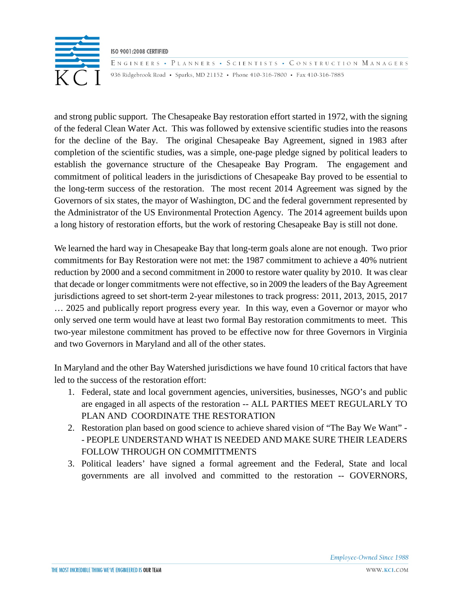

ENGINEERS • PLANNERS • SCIENTISTS • CONSTRUCTION MANAGERS 936 Ridgebrook Road • Sparks, MD 21152 • Phone 410-316-7800 • Fax 410-316-7885

and strong public support. The Chesapeake Bay restoration effort started in 1972, with the signing of the federal Clean Water Act. This was followed by extensive scientific studies into the reasons for the decline of the Bay. The original Chesapeake Bay Agreement, signed in 1983 after completion of the scientific studies, was a simple, one-page pledge signed by political leaders to establish the governance structure of the Chesapeake Bay Program. The engagement and commitment of political leaders in the jurisdictions of Chesapeake Bay proved to be essential to the long-term success of the restoration. The most recent 2014 Agreement was signed by the Governors of six states, the mayor of Washington, DC and the federal government represented by the Administrator of the US Environmental Protection Agency. The 2014 agreement builds upon a long history of restoration efforts, but the work of restoring Chesapeake Bay is still not done.

We learned the hard way in Chesapeake Bay that long-term goals alone are not enough. Two prior commitments for Bay Restoration were not met: the 1987 commitment to achieve a 40% nutrient reduction by 2000 and a second commitment in 2000 to restore water quality by 2010. It was clear that decade or longer commitments were not effective, so in 2009 the leaders of the Bay Agreement jurisdictions agreed to set short-term 2-year milestones to track progress: 2011, 2013, 2015, 2017 … 2025 and publically report progress every year. In this way, even a Governor or mayor who only served one term would have at least two formal Bay restoration commitments to meet. This two-year milestone commitment has proved to be effective now for three Governors in Virginia and two Governors in Maryland and all of the other states.

In Maryland and the other Bay Watershed jurisdictions we have found 10 critical factors that have led to the success of the restoration effort:

- 1. Federal, state and local government agencies, universities, businesses, NGO's and public are engaged in all aspects of the restoration -- ALL PARTIES MEET REGULARLY TO PLAN AND COORDINATE THE RESTORATION
- 2. Restoration plan based on good science to achieve shared vision of "The Bay We Want" - PEOPLE UNDERSTAND WHAT IS NEEDED AND MAKE SURE THEIR LEADERS FOLLOW THROUGH ON COMMITTMENTS
- 3. Political leaders' have signed a formal agreement and the Federal, State and local governments are all involved and committed to the restoration -- GOVERNORS,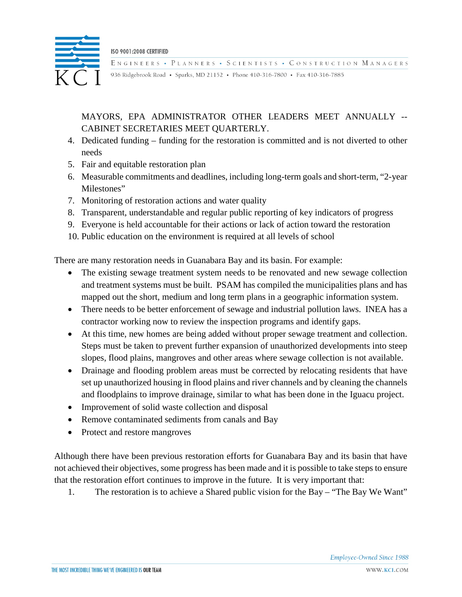

ENGINEERS • PLANNERS • SCIENTISTS • CONSTRUCTION MANAGERS

936 Ridgebrook Road • Sparks, MD 21152 • Phone 410-316-7800 • Fax 410-316-7885

# MAYORS, EPA ADMINISTRATOR OTHER LEADERS MEET ANNUALLY -- CABINET SECRETARIES MEET QUARTERLY.

- 4. Dedicated funding funding for the restoration is committed and is not diverted to other needs
- 5. Fair and equitable restoration plan
- 6. Measurable commitments and deadlines, including long-term goals and short-term, "2-year Milestones"
- 7. Monitoring of restoration actions and water quality
- 8. Transparent, understandable and regular public reporting of key indicators of progress
- 9. Everyone is held accountable for their actions or lack of action toward the restoration
- 10. Public education on the environment is required at all levels of school

There are many restoration needs in Guanabara Bay and its basin. For example:

- The existing sewage treatment system needs to be renovated and new sewage collection and treatment systems must be built. PSAM has compiled the municipalities plans and has mapped out the short, medium and long term plans in a geographic information system.
- There needs to be better enforcement of sewage and industrial pollution laws. INEA has a contractor working now to review the inspection programs and identify gaps.
- At this time, new homes are being added without proper sewage treatment and collection. Steps must be taken to prevent further expansion of unauthorized developments into steep slopes, flood plains, mangroves and other areas where sewage collection is not available.
- Drainage and flooding problem areas must be corrected by relocating residents that have set up unauthorized housing in flood plains and river channels and by cleaning the channels and floodplains to improve drainage, similar to what has been done in the Iguacu project.
- Improvement of solid waste collection and disposal
- Remove contaminated sediments from canals and Bay
- Protect and restore mangroves

Although there have been previous restoration efforts for Guanabara Bay and its basin that have not achieved their objectives, some progress has been made and it is possible to take steps to ensure that the restoration effort continues to improve in the future. It is very important that:

1. The restoration is to achieve a Shared public vision for the Bay – "The Bay We Want"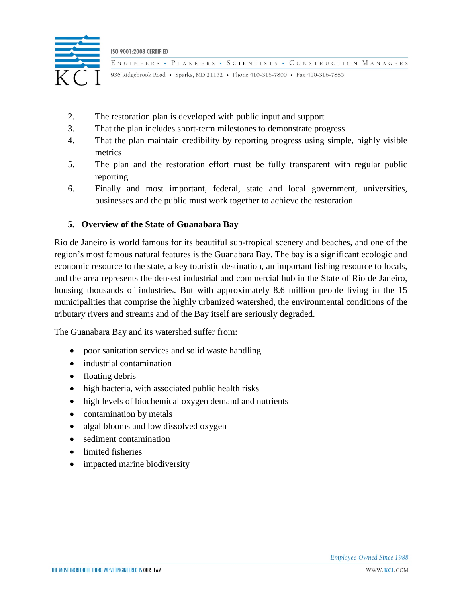

ENGINEERS • PLANNERS • SCIENTISTS • CONSTRUCTION MANAGERS 936 Ridgebrook Road • Sparks, MD 21152 • Phone 410-316-7800 • Fax 410-316-7885

- 2. The restoration plan is developed with public input and support
- 3. That the plan includes short-term milestones to demonstrate progress
- 4. That the plan maintain credibility by reporting progress using simple, highly visible metrics
- 5. The plan and the restoration effort must be fully transparent with regular public reporting
- 6. Finally and most important, federal, state and local government, universities, businesses and the public must work together to achieve the restoration.

#### **5. Overview of the State of Guanabara Bay**

Rio de Janeiro is world famous for its beautiful sub-tropical scenery and beaches, and one of the region's most famous natural features is the Guanabara Bay. The bay is a significant ecologic and economic resource to the state, a key touristic destination, an important fishing resource to locals, and the area represents the densest industrial and commercial hub in the State of Rio de Janeiro, housing thousands of industries. But with approximately 8.6 million people living in the 15 municipalities that comprise the highly urbanized watershed, the environmental conditions of the tributary rivers and streams and of the Bay itself are seriously degraded.

The Guanabara Bay and its watershed suffer from:

- poor sanitation services and solid waste handling
- industrial contamination
- floating debris
- high bacteria, with associated public health risks
- high levels of biochemical oxygen demand and nutrients
- contamination by metals
- algal blooms and low dissolved oxygen
- sediment contamination
- limited fisheries
- impacted marine biodiversity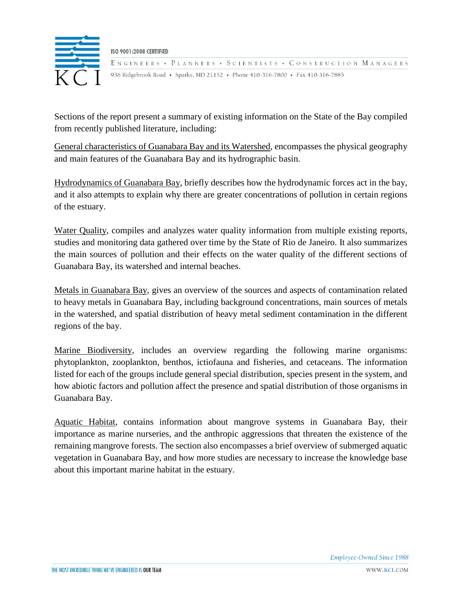

ENGINEERS • PLANNERS • SCIENTISTS • CONSTRUCTION MANAGERS 936 Ridgebrook Road • Sparks, MD 21152 • Phone 410-316-7800 • Fax 410-316-7885

Sections of the report present a summary of existing information on the State of the Bay compiled from recently published literature, including:

General characteristics of Guanabara Bay and its Watershed, encompasses the physical geography and main features of the Guanabara Bay and its hydrographic basin.

Hydrodynamics of Guanabara Bay, briefly describes how the hydrodynamic forces act in the bay, and it also attempts to explain why there are greater concentrations of pollution in certain regions of the estuary.

Water Quality, compiles and analyzes water quality information from multiple existing reports, studies and monitoring data gathered over time by the State of Rio de Janeiro. It also summarizes the main sources of pollution and their effects on the water quality of the different sections of Guanabara Bay, its watershed and internal beaches.

Metals in Guanabara Bay, gives an overview of the sources and aspects of contamination related to heavy metals in Guanabara Bay, including background concentrations, main sources of metals in the watershed, and spatial distribution of heavy metal sediment contamination in the different regions of the bay.

Marine Biodiversity, includes an overview regarding the following marine organisms: phytoplankton, zooplankton, benthos, ictiofauna and fisheries, and cetaceans. The information listed for each of the groups include general special distribution, species present in the system, and how abiotic factors and pollution affect the presence and spatial distribution of those organisms in Guanabara Bay.

Aquatic Habitat, contains information about mangrove systems in Guanabara Bay, their importance as marine nurseries, and the anthropic aggressions that threaten the existence of the remaining mangrove forests. The section also encompasses a brief overview of submerged aquatic vegetation in Guanabara Bay, and how more studies are necessary to increase the knowledge base about this important marine habitat in the estuary.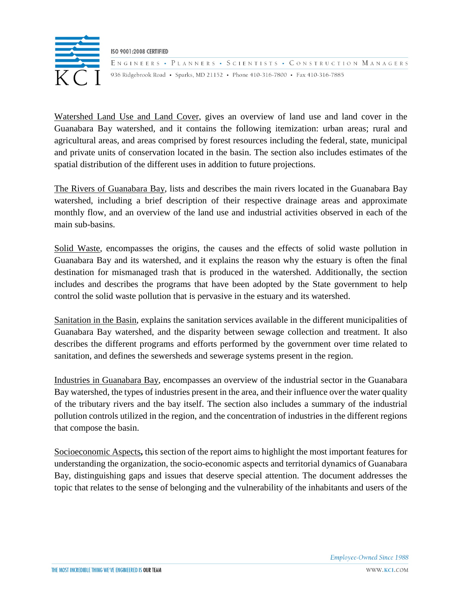

ENGINEERS • PLANNERS • SCIENTISTS • CONSTRUCTION MANAGERS 936 Ridgebrook Road • Sparks, MD 21152 • Phone 410-316-7800 • Fax 410-316-7885

Watershed Land Use and Land Cover, gives an overview of land use and land cover in the Guanabara Bay watershed, and it contains the following itemization: urban areas; rural and agricultural areas, and areas comprised by forest resources including the federal, state, municipal and private units of conservation located in the basin. The section also includes estimates of the spatial distribution of the different uses in addition to future projections.

The Rivers of Guanabara Bay, lists and describes the main rivers located in the Guanabara Bay watershed, including a brief description of their respective drainage areas and approximate monthly flow, and an overview of the land use and industrial activities observed in each of the main sub-basins.

Solid Waste, encompasses the origins, the causes and the effects of solid waste pollution in Guanabara Bay and its watershed, and it explains the reason why the estuary is often the final destination for mismanaged trash that is produced in the watershed. Additionally, the section includes and describes the programs that have been adopted by the State government to help control the solid waste pollution that is pervasive in the estuary and its watershed.

Sanitation in the Basin, explains the sanitation services available in the different municipalities of Guanabara Bay watershed, and the disparity between sewage collection and treatment. It also describes the different programs and efforts performed by the government over time related to sanitation, and defines the sewersheds and sewerage systems present in the region.

Industries in Guanabara Bay, encompasses an overview of the industrial sector in the Guanabara Bay watershed, the types of industries present in the area, and their influence over the water quality of the tributary rivers and the bay itself. The section also includes a summary of the industrial pollution controls utilized in the region, and the concentration of industries in the different regions that compose the basin.

Socioeconomic Aspects**,** this section of the report aims to highlight the most important features for understanding the organization, the socio-economic aspects and territorial dynamics of Guanabara Bay, distinguishing gaps and issues that deserve special attention. The document addresses the topic that relates to the sense of belonging and the vulnerability of the inhabitants and users of the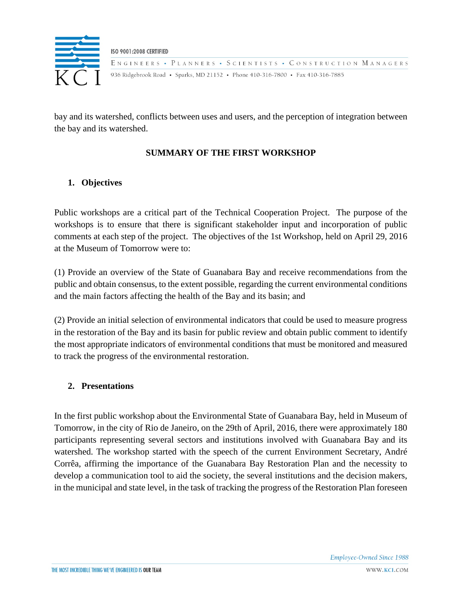

bay and its watershed, conflicts between uses and users, and the perception of integration between the bay and its watershed.

## **SUMMARY OF THE FIRST WORKSHOP**

### **1. Objectives**

Public workshops are a critical part of the Technical Cooperation Project. The purpose of the workshops is to ensure that there is significant stakeholder input and incorporation of public comments at each step of the project. The objectives of the 1st Workshop, held on April 29, 2016 at the Museum of Tomorrow were to:

(1) Provide an overview of the State of Guanabara Bay and receive recommendations from the public and obtain consensus, to the extent possible, regarding the current environmental conditions and the main factors affecting the health of the Bay and its basin; and

(2) Provide an initial selection of environmental indicators that could be used to measure progress in the restoration of the Bay and its basin for public review and obtain public comment to identify the most appropriate indicators of environmental conditions that must be monitored and measured to track the progress of the environmental restoration.

### **2. Presentations**

In the first public workshop about the Environmental State of Guanabara Bay, held in Museum of Tomorrow, in the city of Rio de Janeiro, on the 29th of April, 2016, there were approximately 180 participants representing several sectors and institutions involved with Guanabara Bay and its watershed. The workshop started with the speech of the current Environment Secretary, André Corrêa, affirming the importance of the Guanabara Bay Restoration Plan and the necessity to develop a communication tool to aid the society, the several institutions and the decision makers, in the municipal and state level, in the task of tracking the progress of the Restoration Plan foreseen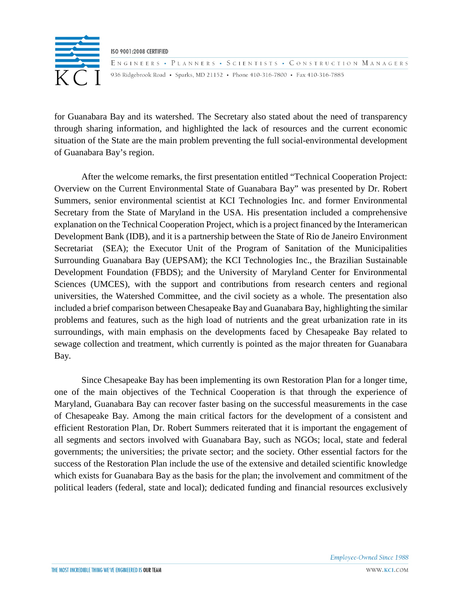

ENGINEERS • PLANNERS • SCIENTISTS • CONSTRUCTION MANAGERS 936 Ridgebrook Road • Sparks, MD 21152 • Phone 410-316-7800 • Fax 410-316-7885

for Guanabara Bay and its watershed. The Secretary also stated about the need of transparency through sharing information, and highlighted the lack of resources and the current economic situation of the State are the main problem preventing the full social-environmental development of Guanabara Bay's region.

After the welcome remarks, the first presentation entitled "Technical Cooperation Project: Overview on the Current Environmental State of Guanabara Bay" was presented by Dr. Robert Summers, senior environmental scientist at KCI Technologies Inc. and former Environmental Secretary from the State of Maryland in the USA. His presentation included a comprehensive explanation on the Technical Cooperation Project, which is a project financed by the Interamerican Development Bank (IDB), and it is a partnership between the State of Rio de Janeiro Environment Secretariat (SEA); the Executor Unit of the Program of Sanitation of the Municipalities Surrounding Guanabara Bay (UEPSAM); the KCI Technologies Inc., the Brazilian Sustainable Development Foundation (FBDS); and the University of Maryland Center for Environmental Sciences (UMCES), with the support and contributions from research centers and regional universities, the Watershed Committee, and the civil society as a whole. The presentation also included a brief comparison between Chesapeake Bay and Guanabara Bay, highlighting the similar problems and features, such as the high load of nutrients and the great urbanization rate in its surroundings, with main emphasis on the developments faced by Chesapeake Bay related to sewage collection and treatment, which currently is pointed as the major threaten for Guanabara Bay.

Since Chesapeake Bay has been implementing its own Restoration Plan for a longer time, one of the main objectives of the Technical Cooperation is that through the experience of Maryland, Guanabara Bay can recover faster basing on the successful measurements in the case of Chesapeake Bay. Among the main critical factors for the development of a consistent and efficient Restoration Plan, Dr. Robert Summers reiterated that it is important the engagement of all segments and sectors involved with Guanabara Bay, such as NGOs; local, state and federal governments; the universities; the private sector; and the society. Other essential factors for the success of the Restoration Plan include the use of the extensive and detailed scientific knowledge which exists for Guanabara Bay as the basis for the plan; the involvement and commitment of the political leaders (federal, state and local); dedicated funding and financial resources exclusively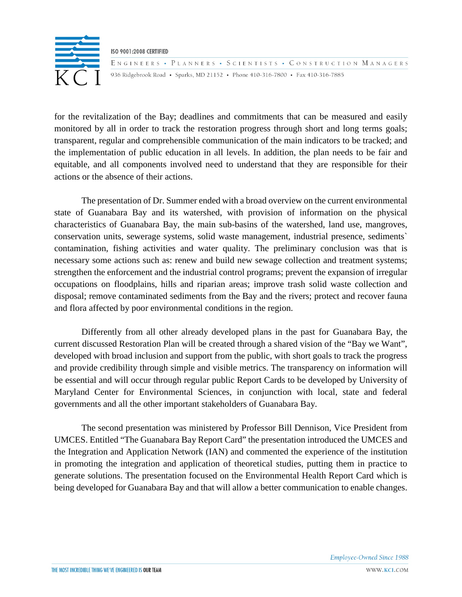

ENGINEERS • PLANNERS • SCIENTISTS • CONSTRUCTION MANAGERS 936 Ridgebrook Road • Sparks, MD 21152 • Phone 410-316-7800 • Fax 410-316-7885

for the revitalization of the Bay; deadlines and commitments that can be measured and easily monitored by all in order to track the restoration progress through short and long terms goals; transparent, regular and comprehensible communication of the main indicators to be tracked; and the implementation of public education in all levels. In addition, the plan needs to be fair and equitable, and all components involved need to understand that they are responsible for their actions or the absence of their actions.

The presentation of Dr. Summer ended with a broad overview on the current environmental state of Guanabara Bay and its watershed, with provision of information on the physical characteristics of Guanabara Bay, the main sub-basins of the watershed, land use, mangroves, conservation units, sewerage systems, solid waste management, industrial presence, sediments` contamination, fishing activities and water quality. The preliminary conclusion was that is necessary some actions such as: renew and build new sewage collection and treatment systems; strengthen the enforcement and the industrial control programs; prevent the expansion of irregular occupations on floodplains, hills and riparian areas; improve trash solid waste collection and disposal; remove contaminated sediments from the Bay and the rivers; protect and recover fauna and flora affected by poor environmental conditions in the region.

Differently from all other already developed plans in the past for Guanabara Bay, the current discussed Restoration Plan will be created through a shared vision of the "Bay we Want", developed with broad inclusion and support from the public, with short goals to track the progress and provide credibility through simple and visible metrics. The transparency on information will be essential and will occur through regular public Report Cards to be developed by University of Maryland Center for Environmental Sciences, in conjunction with local, state and federal governments and all the other important stakeholders of Guanabara Bay.

The second presentation was ministered by Professor Bill Dennison, Vice President from UMCES. Entitled "The Guanabara Bay Report Card" the presentation introduced the UMCES and the Integration and Application Network (IAN) and commented the experience of the institution in promoting the integration and application of theoretical studies, putting them in practice to generate solutions. The presentation focused on the Environmental Health Report Card which is being developed for Guanabara Bay and that will allow a better communication to enable changes.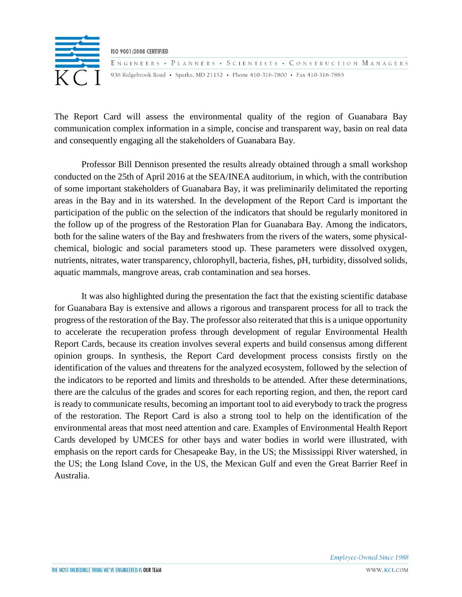

ENGINEERS • PLANNERS • SCIENTISTS • CONSTRUCTION MANAGERS 936 Ridgebrook Road • Sparks, MD 21152 • Phone 410-316-7800 • Fax 410-316-7885

The Report Card will assess the environmental quality of the region of Guanabara Bay communication complex information in a simple, concise and transparent way, basin on real data and consequently engaging all the stakeholders of Guanabara Bay.

Professor Bill Dennison presented the results already obtained through a small workshop conducted on the 25th of April 2016 at the SEA/INEA auditorium, in which, with the contribution of some important stakeholders of Guanabara Bay, it was preliminarily delimitated the reporting areas in the Bay and in its watershed. In the development of the Report Card is important the participation of the public on the selection of the indicators that should be regularly monitored in the follow up of the progress of the Restoration Plan for Guanabara Bay. Among the indicators, both for the saline waters of the Bay and freshwaters from the rivers of the waters, some physicalchemical, biologic and social parameters stood up. These parameters were dissolved oxygen, nutrients, nitrates, water transparency, chlorophyll, bacteria, fishes, pH, turbidity, dissolved solids, aquatic mammals, mangrove areas, crab contamination and sea horses.

It was also highlighted during the presentation the fact that the existing scientific database for Guanabara Bay is extensive and allows a rigorous and transparent process for all to track the progress of the restoration of the Bay. The professor also reiterated that this is a unique opportunity to accelerate the recuperation profess through development of regular Environmental Health Report Cards, because its creation involves several experts and build consensus among different opinion groups. In synthesis, the Report Card development process consists firstly on the identification of the values and threatens for the analyzed ecosystem, followed by the selection of the indicators to be reported and limits and thresholds to be attended. After these determinations, there are the calculus of the grades and scores for each reporting region, and then, the report card is ready to communicate results, becoming an important tool to aid everybody to track the progress of the restoration. The Report Card is also a strong tool to help on the identification of the environmental areas that most need attention and care. Examples of Environmental Health Report Cards developed by UMCES for other bays and water bodies in world were illustrated, with emphasis on the report cards for Chesapeake Bay, in the US; the Mississippi River watershed, in the US; the Long Island Cove, in the US, the Mexican Gulf and even the Great Barrier Reef in Australia.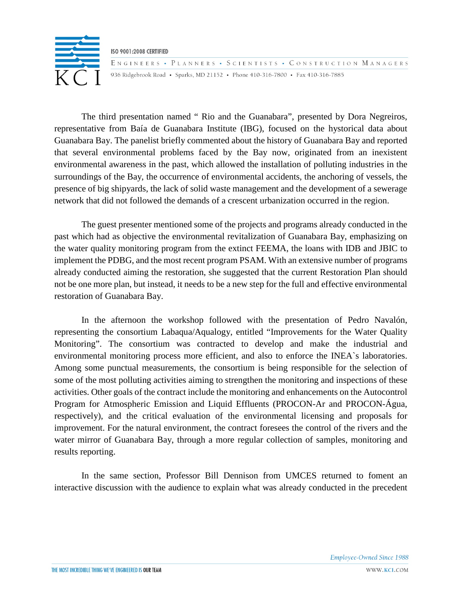

ENGINEERS • PLANNERS • SCIENTISTS • CONSTRUCTION MANAGERS 936 Ridgebrook Road • Sparks, MD 21152 • Phone 410-316-7800 • Fax 410-316-7885

The third presentation named " Rio and the Guanabara", presented by Dora Negreiros, representative from Baía de Guanabara Institute (IBG), focused on the hystorical data about Guanabara Bay. The panelist briefly commented about the history of Guanabara Bay and reported that several environmental problems faced by the Bay now, originated from an inexistent environmental awareness in the past, which allowed the installation of polluting industries in the surroundings of the Bay, the occurrence of environmental accidents, the anchoring of vessels, the presence of big shipyards, the lack of solid waste management and the development of a sewerage network that did not followed the demands of a crescent urbanization occurred in the region.

The guest presenter mentioned some of the projects and programs already conducted in the past which had as objective the environmental revitalization of Guanabara Bay, emphasizing on the water quality monitoring program from the extinct FEEMA, the loans with IDB and JBIC to implement the PDBG, and the most recent program PSAM. With an extensive number of programs already conducted aiming the restoration, she suggested that the current Restoration Plan should not be one more plan, but instead, it needs to be a new step for the full and effective environmental restoration of Guanabara Bay.

In the afternoon the workshop followed with the presentation of Pedro Navalón, representing the consortium Labaqua/Aqualogy, entitled "Improvements for the Water Quality Monitoring". The consortium was contracted to develop and make the industrial and environmental monitoring process more efficient, and also to enforce the INEA`s laboratories. Among some punctual measurements, the consortium is being responsible for the selection of some of the most polluting activities aiming to strengthen the monitoring and inspections of these activities. Other goals of the contract include the monitoring and enhancements on the Autocontrol Program for Atmospheric Emission and Liquid Effluents (PROCON-Ar and PROCON-Água, respectively), and the critical evaluation of the environmental licensing and proposals for improvement. For the natural environment, the contract foresees the control of the rivers and the water mirror of Guanabara Bay, through a more regular collection of samples, monitoring and results reporting.

In the same section, Professor Bill Dennison from UMCES returned to foment an interactive discussion with the audience to explain what was already conducted in the precedent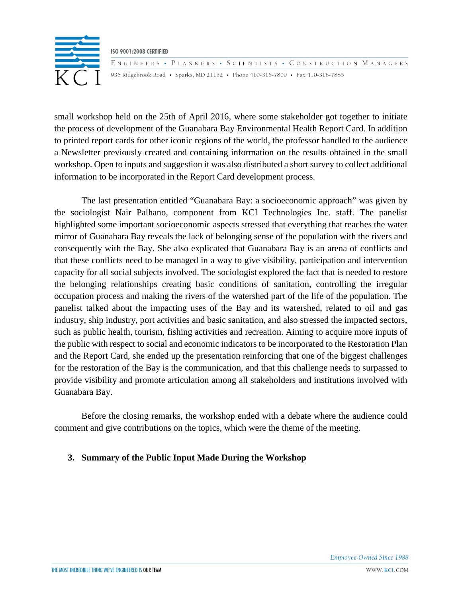

ENGINEERS • PLANNERS • SCIENTISTS • CONSTRUCTION MANAGERS 936 Ridgebrook Road • Sparks, MD 21152 • Phone 410-316-7800 • Fax 410-316-7885

small workshop held on the 25th of April 2016, where some stakeholder got together to initiate the process of development of the Guanabara Bay Environmental Health Report Card. In addition to printed report cards for other iconic regions of the world, the professor handled to the audience a Newsletter previously created and containing information on the results obtained in the small workshop. Open to inputs and suggestion it was also distributed a short survey to collect additional information to be incorporated in the Report Card development process.

The last presentation entitled "Guanabara Bay: a socioeconomic approach" was given by the sociologist Nair Palhano, component from KCI Technologies Inc. staff. The panelist highlighted some important socioeconomic aspects stressed that everything that reaches the water mirror of Guanabara Bay reveals the lack of belonging sense of the population with the rivers and consequently with the Bay. She also explicated that Guanabara Bay is an arena of conflicts and that these conflicts need to be managed in a way to give visibility, participation and intervention capacity for all social subjects involved. The sociologist explored the fact that is needed to restore the belonging relationships creating basic conditions of sanitation, controlling the irregular occupation process and making the rivers of the watershed part of the life of the population. The panelist talked about the impacting uses of the Bay and its watershed, related to oil and gas industry, ship industry, port activities and basic sanitation, and also stressed the impacted sectors, such as public health, tourism, fishing activities and recreation. Aiming to acquire more inputs of the public with respect to social and economic indicators to be incorporated to the Restoration Plan and the Report Card, she ended up the presentation reinforcing that one of the biggest challenges for the restoration of the Bay is the communication, and that this challenge needs to surpassed to provide visibility and promote articulation among all stakeholders and institutions involved with Guanabara Bay.

Before the closing remarks, the workshop ended with a debate where the audience could comment and give contributions on the topics, which were the theme of the meeting.

### **3. Summary of the Public Input Made During the Workshop**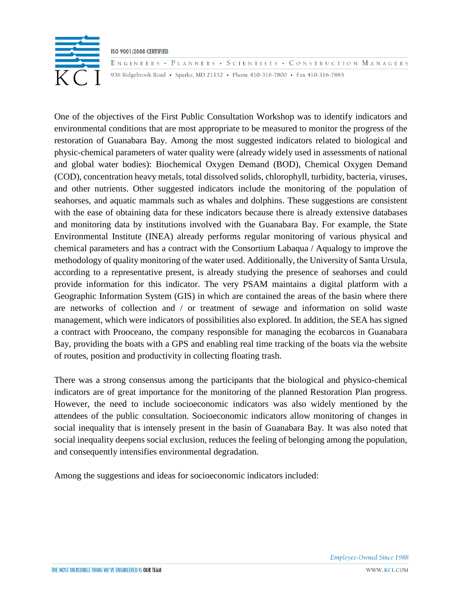

ENGINEERS • PLANNERS • SCIENTISTS • CONSTRUCTION MANAGERS 936 Ridgebrook Road • Sparks, MD 21152 • Phone 410-316-7800 • Fax 410-316-7885

One of the objectives of the First Public Consultation Workshop was to identify indicators and environmental conditions that are most appropriate to be measured to monitor the progress of the restoration of Guanabara Bay. Among the most suggested indicators related to biological and physic-chemical parameters of water quality were (already widely used in assessments of national and global water bodies): Biochemical Oxygen Demand (BOD), Chemical Oxygen Demand (COD), concentration heavy metals, total dissolved solids, chlorophyll, turbidity, bacteria, viruses, and other nutrients. Other suggested indicators include the monitoring of the population of seahorses, and aquatic mammals such as whales and dolphins. These suggestions are consistent with the ease of obtaining data for these indicators because there is already extensive databases and monitoring data by institutions involved with the Guanabara Bay. For example, the State Environmental Institute (INEA) already performs regular monitoring of various physical and chemical parameters and has a contract with the Consortium Labaqua / Aqualogy to improve the methodology of quality monitoring of the water used. Additionally, the University of Santa Ursula, according to a representative present, is already studying the presence of seahorses and could provide information for this indicator. The very PSAM maintains a digital platform with a Geographic Information System (GIS) in which are contained the areas of the basin where there are networks of collection and / or treatment of sewage and information on solid waste management, which were indicators of possibilities also explored. In addition, the SEA has signed a contract with Prooceano, the company responsible for managing the ecobarcos in Guanabara Bay, providing the boats with a GPS and enabling real time tracking of the boats via the website of routes, position and productivity in collecting floating trash.

There was a strong consensus among the participants that the biological and physico-chemical indicators are of great importance for the monitoring of the planned Restoration Plan progress. However, the need to include socioeconomic indicators was also widely mentioned by the attendees of the public consultation. Socioeconomic indicators allow monitoring of changes in social inequality that is intensely present in the basin of Guanabara Bay. It was also noted that social inequality deepens social exclusion, reduces the feeling of belonging among the population, and consequently intensifies environmental degradation.

Among the suggestions and ideas for socioeconomic indicators included: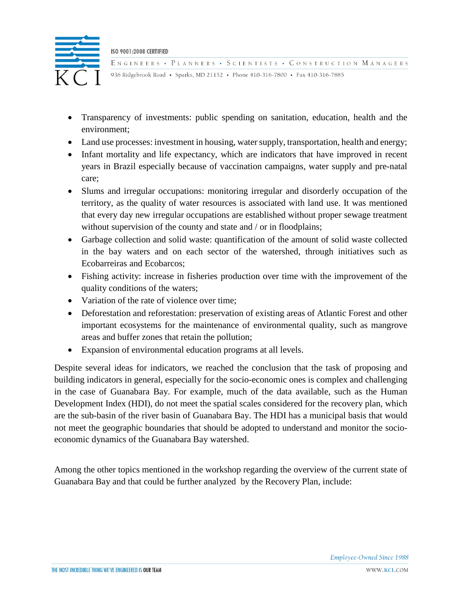

ENGINEERS • PLANNERS • SCIENTISTS • CONSTRUCTION MANAGERS 936 Ridgebrook Road • Sparks, MD 21152 • Phone 410-316-7800 • Fax 410-316-7885

- Transparency of investments: public spending on sanitation, education, health and the environment;
- Land use processes: investment in housing, water supply, transportation, health and energy;
- Infant mortality and life expectancy, which are indicators that have improved in recent years in Brazil especially because of vaccination campaigns, water supply and pre-natal care;
- Slums and irregular occupations: monitoring irregular and disorderly occupation of the territory, as the quality of water resources is associated with land use. It was mentioned that every day new irregular occupations are established without proper sewage treatment without supervision of the county and state and / or in floodplains;
- Garbage collection and solid waste: quantification of the amount of solid waste collected in the bay waters and on each sector of the watershed, through initiatives such as Ecobarreiras and Ecobarcos;
- Fishing activity: increase in fisheries production over time with the improvement of the quality conditions of the waters;
- Variation of the rate of violence over time:
- Deforestation and reforestation: preservation of existing areas of Atlantic Forest and other important ecosystems for the maintenance of environmental quality, such as mangrove areas and buffer zones that retain the pollution;
- Expansion of environmental education programs at all levels.

Despite several ideas for indicators, we reached the conclusion that the task of proposing and building indicators in general, especially for the socio-economic ones is complex and challenging in the case of Guanabara Bay. For example, much of the data available, such as the Human Development Index (HDI), do not meet the spatial scales considered for the recovery plan, which are the sub-basin of the river basin of Guanabara Bay. The HDI has a municipal basis that would not meet the geographic boundaries that should be adopted to understand and monitor the socioeconomic dynamics of the Guanabara Bay watershed.

Among the other topics mentioned in the workshop regarding the overview of the current state of Guanabara Bay and that could be further analyzed by the Recovery Plan, include: